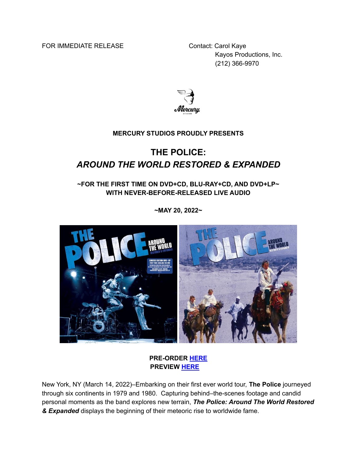FOR IMMEDIATE RELEASE Contact: Carol Kaye

Kayos Productions, Inc. (212) 366-9970



#### **MERCURY STUDIOS PROUDLY PRESENTS**

# **THE POLICE:** *AROUND THE WORLD RESTORED & EXPANDED*

## **~FOR THE FIRST TIME ON DVD+CD, BLU-RAY+CD, AND DVD+LP~ WITH NEVER-BEFORE-RELEASED LIVE AUDIO**

**~MAY 20, 2022~**



#### **PRE-ORDER [HERE](https://mercury-studios.lnk.to/ThePoliceAroundTheWorld) PREVIEW [HERE](https://youtu.be/llK1hdKLW1c)**

New York, NY (March 14, 2022)–Embarking on their first ever world tour, **The Police** journeyed through six continents in 1979 and 1980. Capturing behind–the-scenes footage and candid personal moments as the band explores new terrain, *The Police: Around The World Restored & Expanded* displays the beginning of their meteoric rise to worldwide fame.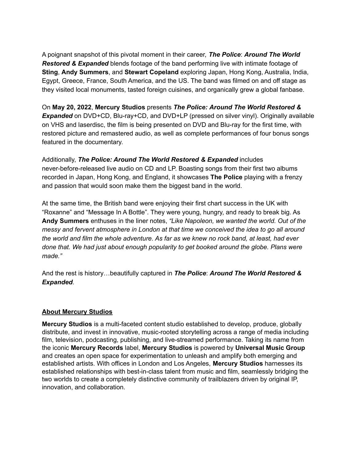A poignant snapshot of this pivotal moment in their career, *The Police*: *Around The World Restored & Expanded* blends footage of the band performing live with intimate footage of **Sting**, **Andy Summers**, and **Stewart Copeland** exploring Japan, Hong Kong, Australia, India, Egypt, Greece, France, South America, and the US. The band was filmed on and off stage as they visited local monuments, tasted foreign cuisines, and organically grew a global fanbase.

On **May 20, 2022**, **Mercury Studios** presents *The Police: Around The World Restored & Expanded* on DVD+CD, Blu-ray+CD, and DVD+LP (pressed on silver vinyl). Originally available on VHS and laserdisc, the film is being presented on DVD and Blu-ray for the first time, with restored picture and remastered audio, as well as complete performances of four bonus songs featured in the documentary.

Additionally, *The Police: Around The World Restored & Expanded* includes never-before-released live audio on CD and LP. Boasting songs from their first two albums recorded in Japan, Hong Kong, and England, it showcases **The Police** playing with a frenzy and passion that would soon make them the biggest band in the world.

At the same time, the British band were enjoying their first chart success in the UK with "Roxanne" and "Message In A Bottle". They were young, hungry, and ready to break big. As **Andy Summers** enthuses in the liner notes, *"Like Napoleon, we wanted the world. Out of the messy and fervent atmosphere in London at that time we conceived the idea to go all around the world and film the whole adventure. As far as we knew no rock band, at least, had ever done that. We had just about enough popularity to get booked around the globe. Plans were made."*

And the rest is history…beautifully captured in *The Police*: *Around The World Restored & Expanded*.

## **About Mercury Studios**

**Mercury Studios** is a multi-faceted content studio established to develop, produce, globally distribute, and invest in innovative, music-rooted storytelling across a range of media including film, television, podcasting, publishing, and live-streamed performance. Taking its name from the iconic **Mercury Records** label, **Mercury Studios** is powered by **Universal Music Group** and creates an open space for experimentation to unleash and amplify both emerging and established artists. With offices in London and Los Angeles, **Mercury Studios** harnesses its established relationships with best-in-class talent from music and film, seamlessly bridging the two worlds to create a completely distinctive community of trailblazers driven by original IP, innovation, and collaboration.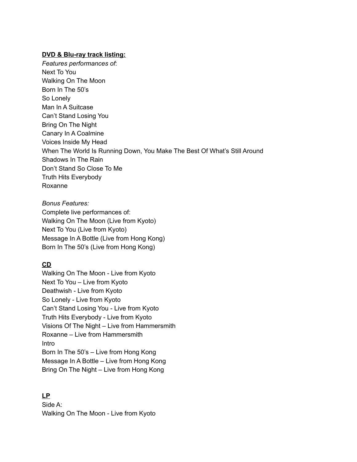#### **DVD & Blu-ray track listing:**

*Features performances of*: Next To You Walking On The Moon Born In The 50's So Lonely Man In A Suitcase Can't Stand Losing You Bring On The Night Canary In A Coalmine Voices Inside My Head When The World Is Running Down, You Make The Best Of What's Still Around Shadows In The Rain Don't Stand So Close To Me Truth Hits Everybody Roxanne

*Bonus Features:* Complete live performances of: Walking On The Moon (Live from Kyoto) Next To You (Live from Kyoto) Message In A Bottle (Live from Hong Kong) Born In The 50's (Live from Hong Kong)

## **CD**

Walking On The Moon - Live from Kyoto Next To You – Live from Kyoto Deathwish - Live from Kyoto So Lonely - Live from Kyoto Can't Stand Losing You - Live from Kyoto Truth Hits Everybody - Live from Kyoto Visions Of The Night – Live from Hammersmith Roxanne – Live from Hammersmith Intro Born In The 50's – Live from Hong Kong Message In A Bottle – Live from Hong Kong Bring On The Night – Live from Hong Kong

## **LP**

Side A: Walking On The Moon - Live from Kyoto